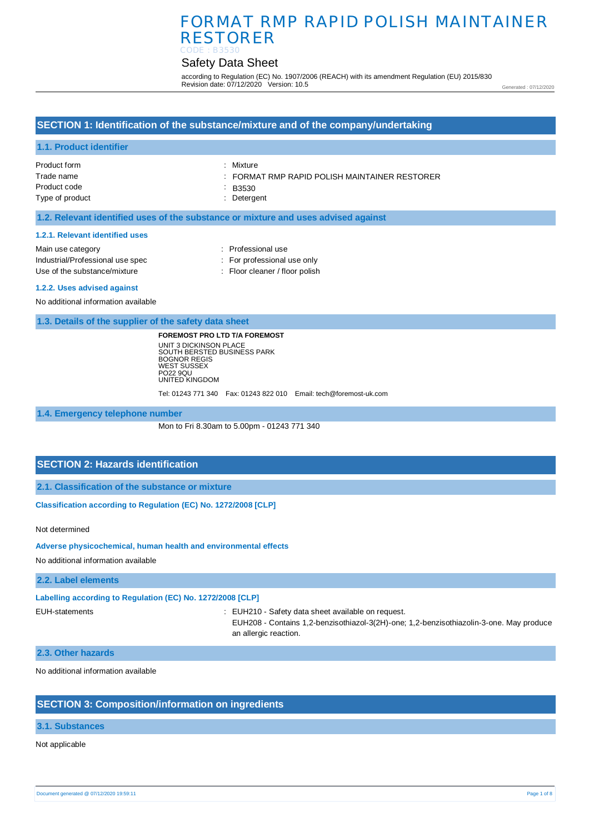# Safety Data Sheet

according to Regulation (EC) No. 1907/2006 (REACH) with its amendment Regulation (EU) 2015/830 Revision date: 07/12/2020 Version: 10.5

Generated : 07/12/2020

## **SECTION 1: Identification of the substance/mixture and of the company/undertaking**

### **1.1. Product identifier**

| Product form    | : Mixture                                                |
|-----------------|----------------------------------------------------------|
| Trade name      | $\therefore$ FORMAT RMP RAPID POLISH MAINTAINER RESTORER |
| Product code    | $-B3530$                                                 |
| Type of product | : Detergent                                              |
|                 |                                                          |

### **1.2. Relevant identified uses of the substance or mixture and uses advised against**

#### **1.2.1. Relevant identified uses**

| Main use category                | : Professional use             |
|----------------------------------|--------------------------------|
| Industrial/Professional use spec | : For professional use only    |
| Use of the substance/mixture     | : Floor cleaner / floor polish |
|                                  |                                |

#### **1.2.2. Uses advised against**

No additional information available

**1.3. Details of the supplier of the safety data sheet**

**FOREMOST PRO LTD T/A FOREMOST** UNIT 3 DICKINSON PLACE SOUTH BERSTED BUSINESS PARK BOGNOR REGIS WEST SUSSEX PO22 9QU UNITED KINGDOM

Tel: 01243 771 340 Fax: 01243 822 010 Email: tech@foremost-uk.com

**1.4. Emergency telephone number**

Mon to Fri 8.30am to 5.00pm - 01243 771 340

## **SECTION 2: Hazards identification**

**2.1. Classification of the substance or mixture**

**Classification according to Regulation (EC) No. 1272/2008 [CLP]** 

Not determined

**Adverse physicochemical, human health and environmental effects** 

No additional information available

### **2.2. Label elements**

**Labelling according to Regulation (EC) No. 1272/2008 [CLP]** 

EUH-statements : EUH210 - Safety data sheet available on request.

EUH208 - Contains 1,2-benzisothiazol-3(2H)-one; 1,2-benzisothiazolin-3-one. May produce an allergic reaction.

#### **2.3. Other hazards**

No additional information available

### **SECTION 3: Composition/information on ingredients**

### **3.1. Substances**

### Not applicable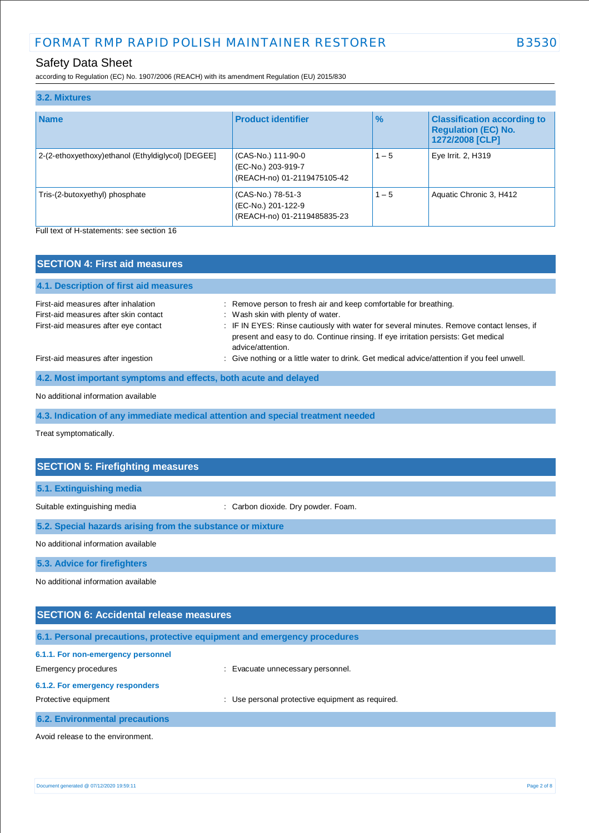# Safety Data Sheet

according to Regulation (EC) No. 1907/2006 (REACH) with its amendment Regulation (EU) 2015/830

| 3.2. Mixtures                                     |                                                                         |               |                                                                                     |
|---------------------------------------------------|-------------------------------------------------------------------------|---------------|-------------------------------------------------------------------------------------|
| <b>Name</b>                                       | <b>Product identifier</b>                                               | $\frac{9}{6}$ | <b>Classification according to</b><br><b>Regulation (EC) No.</b><br>1272/2008 [CLP] |
| 2-(2-ethoxyethoxy)ethanol (Ethyldiglycol) [DEGEE] | (CAS-No.) 111-90-0<br>(EC-No.) 203-919-7<br>(REACH-no) 01-2119475105-42 | $1 - 5$       | Eye Irrit. 2, H319                                                                  |
| Tris-(2-butoxyethyl) phosphate                    | (CAS-No.) 78-51-3<br>(EC-No.) 201-122-9<br>(REACH-no) 01-2119485835-23  | $1 - 5$       | Aquatic Chronic 3, H412                                                             |

Full text of H-statements: see section 16

| <b>SECTION 4: First aid measures</b>                                         |                                                                                                                                                                                                    |
|------------------------------------------------------------------------------|----------------------------------------------------------------------------------------------------------------------------------------------------------------------------------------------------|
| 4.1. Description of first aid measures                                       |                                                                                                                                                                                                    |
| First-aid measures after inhalation<br>First-aid measures after skin contact | : Remove person to fresh air and keep comfortable for breathing.<br>: Wash skin with plenty of water.                                                                                              |
| First-aid measures after eye contact                                         | : IF IN EYES: Rinse cautiously with water for several minutes. Remove contact lenses, if<br>present and easy to do. Continue rinsing. If eye irritation persists: Get medical<br>advice/attention. |
| First-aid measures after ingestion                                           | : Give nothing or a little water to drink. Get medical advice/attention if you feel unwell.                                                                                                        |
| 4.2. Most important symptoms and effects, both acute and delayed             |                                                                                                                                                                                                    |

No additional information available

**4.3. Indication of any immediate medical attention and special treatment needed**

Treat symptomatically.

| <b>SECTION 5: Firefighting measures</b>                    |                                     |  |
|------------------------------------------------------------|-------------------------------------|--|
| 5.1. Extinguishing media                                   |                                     |  |
| Suitable extinguishing media                               | : Carbon dioxide. Dry powder. Foam. |  |
| 5.2. Special hazards arising from the substance or mixture |                                     |  |
| No additional information available                        |                                     |  |
| 5.3. Advice for firefighters                               |                                     |  |
| No additional information available                        |                                     |  |
|                                                            |                                     |  |

| <b>SECTION 6: Accidental release measures</b>                            |                                                  |  |
|--------------------------------------------------------------------------|--------------------------------------------------|--|
| 6.1. Personal precautions, protective equipment and emergency procedures |                                                  |  |
| 6.1.1. For non-emergency personnel<br>Emergency procedures               | : Evacuate unnecessary personnel.                |  |
| 6.1.2. For emergency responders<br>Protective equipment                  | : Use personal protective equipment as required. |  |
| <b>6.2. Environmental precautions</b>                                    |                                                  |  |
| Avoid release to the environment.                                        |                                                  |  |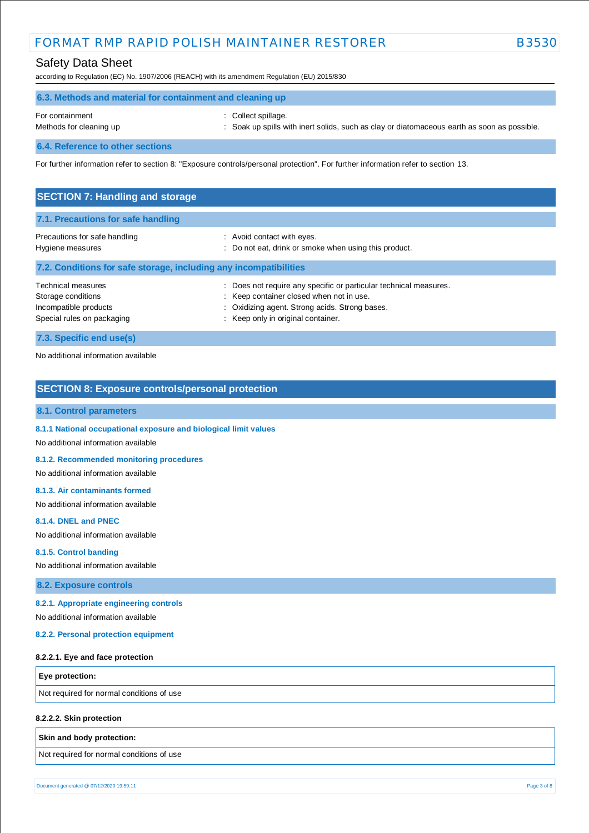# Safety Data Sheet

according to Regulation (EC) No. 1907/2006 (REACH) with its amendment Regulation (EU) 2015/830

| 6.3. Methods and material for containment and cleaning up |                                                                                                                  |
|-----------------------------------------------------------|------------------------------------------------------------------------------------------------------------------|
| For containment<br>Methods for cleaning up                | Collect spillage.<br>: Soak up spills with inert solids, such as clay or diatomaceous earth as soon as possible. |
| 6.4. Reference to other sections                          |                                                                                                                  |

For further information refer to section 8: "Exposure controls/personal protection". For further information refer to section 13.

| <b>SECTION 7: Handling and storage</b>                                                          |                                                                                                                                                                                                     |  |
|-------------------------------------------------------------------------------------------------|-----------------------------------------------------------------------------------------------------------------------------------------------------------------------------------------------------|--|
| 7.1. Precautions for safe handling                                                              |                                                                                                                                                                                                     |  |
| Precautions for safe handling<br>Hygiene measures                                               | : Avoid contact with eyes.<br>Do not eat, drink or smoke when using this product.<br>÷                                                                                                              |  |
| 7.2. Conditions for safe storage, including any incompatibilities                               |                                                                                                                                                                                                     |  |
| Technical measures<br>Storage conditions<br>Incompatible products<br>Special rules on packaging | Does not require any specific or particular technical measures.<br>: Keep container closed when not in use.<br>: Oxidizing agent. Strong acids. Strong bases.<br>: Keep only in original container. |  |
| 7.3. Specific end use(s)                                                                        |                                                                                                                                                                                                     |  |

No additional information available

### **SECTION 8: Exposure controls/personal protection**

#### **8.1. Control parameters**

**8.1.1 National occupational exposure and biological limit values** 

No additional information available

**8.1.2. Recommended monitoring procedures** 

No additional information available

#### **8.1.3. Air contaminants formed**

No additional information available

### **8.1.4. DNEL and PNEC**

No additional information available

# **8.1.5. Control banding**

No additional information available

**8.2. Exposure controls**

#### **8.2.1. Appropriate engineering controls**

No additional information available

#### **8.2.2. Personal protection equipment**

#### **8.2.2.1. Eye and face protection**

**Eye protection:**

Not required for normal conditions of use

### **8.2.2.2. Skin protection**

**Skin and body protection:**

Not required for normal conditions of use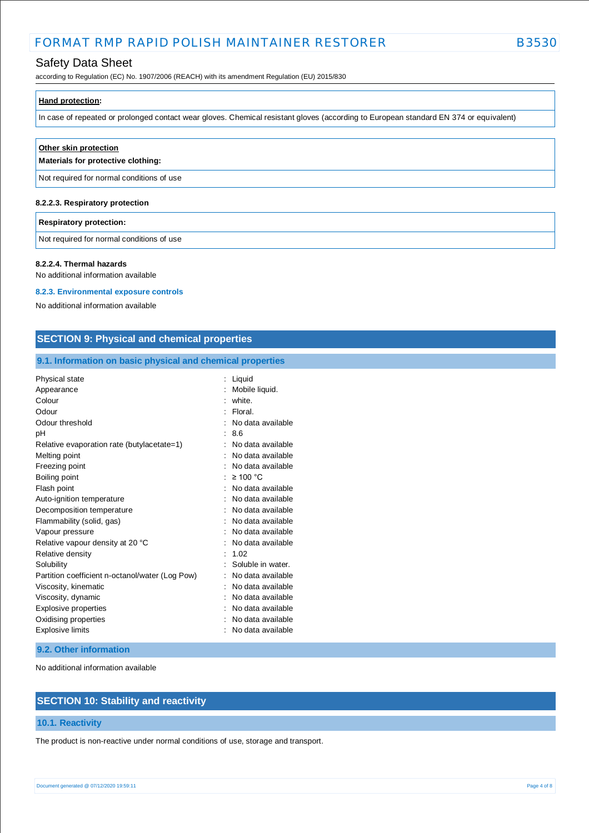# Safety Data Sheet

according to Regulation (EC) No. 1907/2006 (REACH) with its amendment Regulation (EU) 2015/830

| Hand protection:                                                                                                                      |  |
|---------------------------------------------------------------------------------------------------------------------------------------|--|
| In case of repeated or prolonged contact wear gloves. Chemical resistant gloves (according to European standard EN 374 or equivalent) |  |

| Other skin protection<br>Materials for protective clothing: |  |
|-------------------------------------------------------------|--|
| Not required for normal conditions of use                   |  |
| 8.2.2.3. Respiratory protection                             |  |

## **Respiratory protection:**

Not required for normal conditions of use

#### **8.2.2.4. Thermal hazards**

No additional information available

#### **8.2.3. Environmental exposure controls**

No additional information available

### **SECTION 9: Physical and chemical properties**

### **9.1. Information on basic physical and chemical properties**

| <b>Physical state</b>                           | ÷ | Liquid            |
|-------------------------------------------------|---|-------------------|
| Appearance                                      |   | Mobile liquid.    |
| Colour                                          |   | white.            |
| Odour                                           |   | Floral.           |
| Odour threshold                                 |   | No data available |
| рH                                              |   | 8.6               |
| Relative evaporation rate (butylacetate=1)      |   | No data available |
| Melting point                                   |   | No data available |
| Freezing point                                  |   | No data available |
| Boiling point                                   |   | $\geq 100$ °C     |
| Flash point                                     |   | No data available |
| Auto-ignition temperature                       |   | No data available |
| Decomposition temperature                       |   | No data available |
| Flammability (solid, gas)                       |   | No data available |
| Vapour pressure                                 |   | No data available |
| Relative vapour density at 20 °C                |   | No data available |
| Relative density                                |   | 1.02              |
| Solubility                                      |   | Soluble in water. |
| Partition coefficient n-octanol/water (Log Pow) |   | No data available |
| Viscosity, kinematic                            |   | No data available |
| Viscosity, dynamic                              |   | No data available |
| Explosive properties                            |   | No data available |
| Oxidising properties                            |   | No data available |
| <b>Explosive limits</b>                         |   | No data available |

#### **9.2. Other information**

No additional information available

# **SECTION 10: Stability and reactivity**

### **10.1. Reactivity**

The product is non-reactive under normal conditions of use, storage and transport.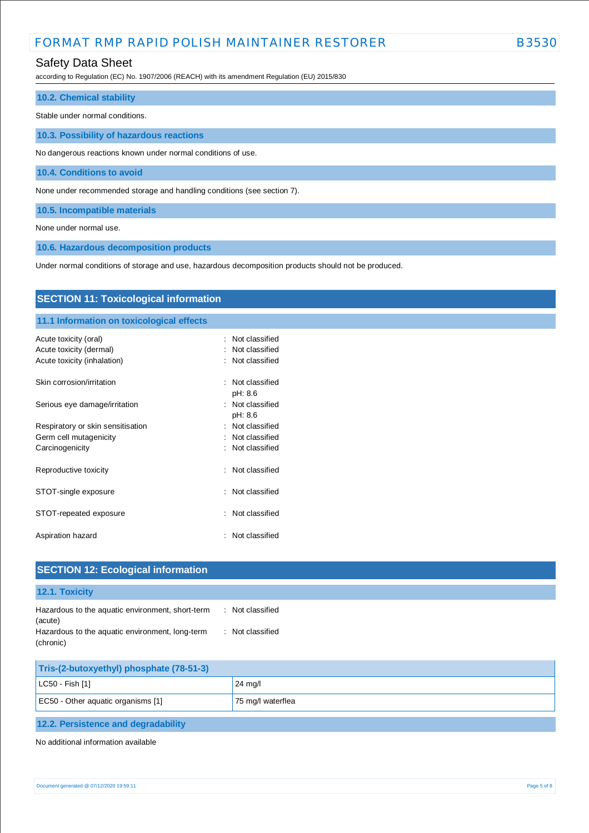## Safety Data Sheet

according to Regulation (EC) No. 1907/2006 (REACH) with its amendment Regulation (EU) 2015/830

### **10.2. Chemical stability**

Stable under normal conditions.

**10.3. Possibility of hazardous reactions**

No dangerous reactions known under normal conditions of use.

**10.4. Conditions to avoid**

None under recommended storage and handling conditions (see section 7).

**10.5. Incompatible materials**

None under normal use.

**10.6. Hazardous decomposition products**

Under normal conditions of storage and use, hazardous decomposition products should not be produced.

| <b>SECTION 11: Toxicological information</b> |                     |  |
|----------------------------------------------|---------------------|--|
| 11.1 Information on toxicological effects    |                     |  |
| Acute toxicity (oral)                        | Not classified<br>÷ |  |
| Acute toxicity (dermal)                      | Not classified      |  |
| Acute toxicity (inhalation)                  | : Not classified    |  |
| Skin corrosion/irritation                    | : Not classified    |  |
|                                              | pH: 8.6             |  |
| Serious eye damage/irritation                | : Not classified    |  |
|                                              | pH: 8.6             |  |
| Respiratory or skin sensitisation            | : Not classified    |  |
| Germ cell mutagenicity                       | : Not classified    |  |
| Carcinogenicity                              | : Not classified    |  |
| Reproductive toxicity                        | Not classified<br>÷ |  |
| STOT-single exposure                         | Not classified<br>÷ |  |
| STOT-repeated exposure                       | Not classified<br>÷ |  |
| Aspiration hazard                            | Not classified<br>÷ |  |
|                                              |                     |  |

| <b>SECTION 12: Ecological information</b>                         |                  |  |
|-------------------------------------------------------------------|------------------|--|
| 12.1. Toxicity                                                    |                  |  |
| Hazardous to the aquatic environment, short-term<br>(acute)       | : Not classified |  |
| Hazardous to the aquatic environment, long-term<br>÷<br>(chronic) | Not classified   |  |
| Tris-(2-butoxyethyl) phosphate (78-51-3)                          |                  |  |
| LC50 - Fish [1]                                                   | 24 mg/l          |  |

| EC50 - Other aquatic organisms [1]  | 75 mg/l waterflea |
|-------------------------------------|-------------------|
|                                     |                   |
| 12.2. Persistence and degradability |                   |

No additional information available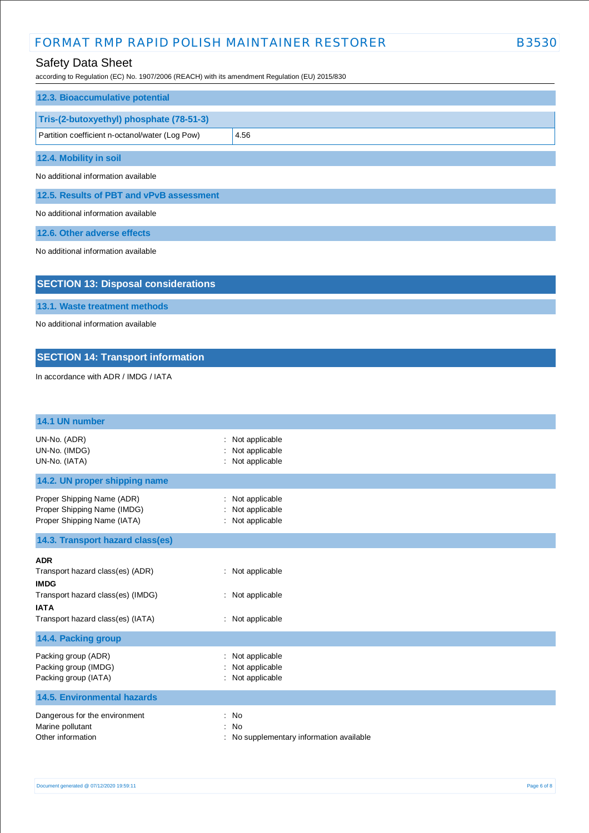## Safety Data Sheet

according to Regulation (EC) No. 1907/2006 (REACH) with its amendment Regulation (EU) 2015/830

| 12.3. Bioaccumulative potential                 |      |
|-------------------------------------------------|------|
| Tris-(2-butoxyethyl) phosphate (78-51-3)        |      |
| Partition coefficient n-octanol/water (Log Pow) | 4.56 |
| 12.4. Mobility in soil                          |      |

No additional information available

**12.5. Results of PBT and vPvB assessment**

No additional information available

**12.6. Other adverse effects**

No additional information available

## **SECTION 13: Disposal considerations**

**13.1. Waste treatment methods**

No additional information available

## **SECTION 14: Transport information**

In accordance with ADR / IMDG / IATA

| 14.1 UN number                                                                                                                                         |                                                           |
|--------------------------------------------------------------------------------------------------------------------------------------------------------|-----------------------------------------------------------|
| UN-No. (ADR)<br>UN-No. (IMDG)<br>UN-No. (IATA)                                                                                                         | Not applicable<br>Not applicable<br>Not applicable        |
| 14.2. UN proper shipping name                                                                                                                          |                                                           |
| Proper Shipping Name (ADR)<br>Proper Shipping Name (IMDG)<br>Proper Shipping Name (IATA)                                                               | Not applicable<br>÷<br>Not applicable<br>: Not applicable |
| 14.3. Transport hazard class(es)                                                                                                                       |                                                           |
| <b>ADR</b><br>Transport hazard class(es) (ADR)<br><b>IMDG</b><br>Transport hazard class(es) (IMDG)<br><b>IATA</b><br>Transport hazard class(es) (IATA) | : Not applicable<br>: Not applicable<br>: Not applicable  |
| 14.4. Packing group                                                                                                                                    |                                                           |
| Packing group (ADR)<br>Packing group (IMDG)<br>Packing group (IATA)                                                                                    | Not applicable<br>Not applicable<br>Not applicable        |
| <b>14.5. Environmental hazards</b>                                                                                                                     |                                                           |
| Dangerous for the environment<br>Marine pollutant<br>Other information                                                                                 | : No<br>No<br>No supplementary information available      |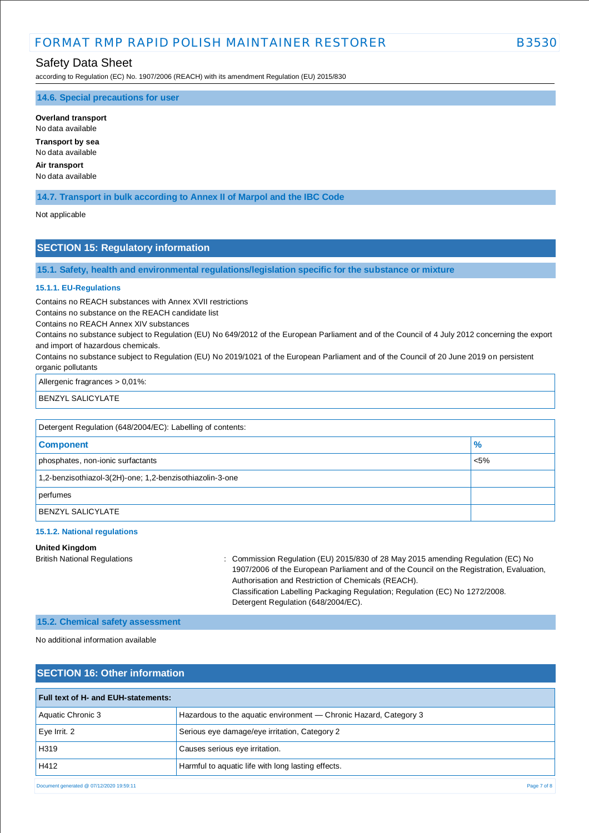# FORMAT RMP RAPID POLISH MAINTAINER RESTORER **EXAMPLE A SSS**3

## Safety Data Sheet

according to Regulation (EC) No. 1907/2006 (REACH) with its amendment Regulation (EU) 2015/830

**14.6. Special precautions for user**

**Overland transport** No data available

**Transport by sea** No data available

**Air transport**

No data available

**14.7. Transport in bulk according to Annex II of Marpol and the IBC Code**

Not applicable

## **SECTION 15: Regulatory information**

**15.1. Safety, health and environmental regulations/legislation specific for the substance or mixture**

#### **15.1.1. EU-Regulations**

Contains no REACH substances with Annex XVII restrictions

Contains no substance on the REACH candidate list

Contains no REACH Annex XIV substances

Contains no substance subject to Regulation (EU) No 649/2012 of the European Parliament and of the Council of 4 July 2012 concerning the export and import of hazardous chemicals.

Contains no substance subject to Regulation (EU) No 2019/1021 of the European Parliament and of the Council of 20 June 2019 on persistent organic pollutants

Allergenic fragrances > 0,01%:

BENZYL SALICYLATE

| Detergent Regulation (648/2004/EC): Labelling of contents: |               |  |
|------------------------------------------------------------|---------------|--|
| <b>Component</b>                                           | $\frac{9}{6}$ |  |
| phosphates, non-ionic surfactants                          | $< 5\%$       |  |
| 1,2-benzisothiazol-3(2H)-one; 1,2-benzisothiazolin-3-one   |               |  |
| perfumes                                                   |               |  |
| <b>BENZYL SALICYLATE</b>                                   |               |  |

#### **15.1.2. National regulations**

### **United Kingdom**

British National Regulations : Commission Regulation (EU) 2015/830 of 28 May 2015 amending Regulation (EC) No 1907/2006 of the European Parliament and of the Council on the Registration, Evaluation, Authorisation and Restriction of Chemicals (REACH). Classification Labelling Packaging Regulation; Regulation (EC) No 1272/2008. Detergent Regulation (648/2004/EC).

#### **15.2. Chemical safety assessment**

No additional information available

| <b>SECTION 16: Other information</b>     |                                                                   |  |
|------------------------------------------|-------------------------------------------------------------------|--|
| Full text of H- and EUH-statements:      |                                                                   |  |
| Aquatic Chronic 3                        | Hazardous to the aquatic environment — Chronic Hazard, Category 3 |  |
| Eye Irrit. 2                             | Serious eye damage/eye irritation, Category 2                     |  |
| H319                                     | Causes serious eye irritation.                                    |  |
| H412                                     | Harmful to aquatic life with long lasting effects.                |  |
| Document generated @ 07/12/2020 19:59:11 | Page 7 of 8                                                       |  |